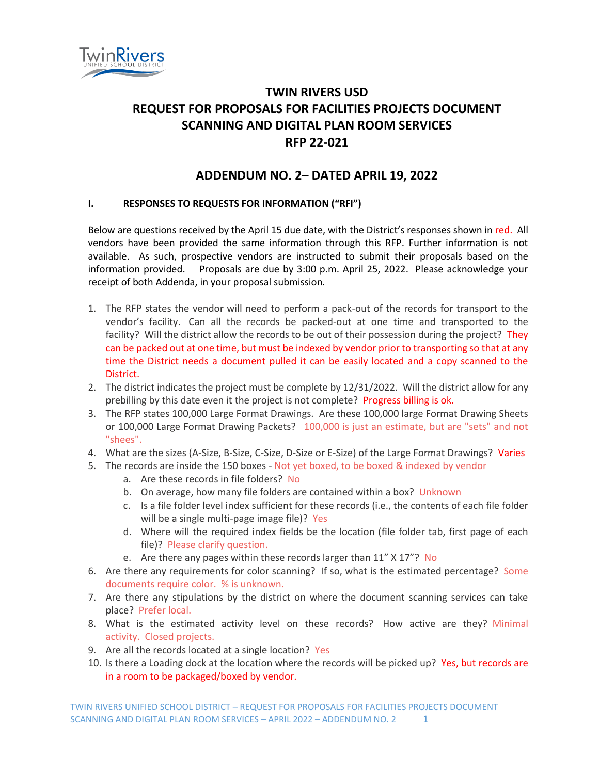

## **TWIN RIVERS USD REQUEST FOR PROPOSALS FOR FACILITIES PROJECTS DOCUMENT SCANNING AND DIGITAL PLAN ROOM SERVICES RFP 22-021**

## **ADDENDUM NO. 2– DATED APRIL 19, 2022**

## **I. RESPONSES TO REQUESTS FOR INFORMATION ("RFI")**

Below are questions received by the April 15 due date, with the District's responses shown in red. All vendors have been provided the same information through this RFP. Further information is not available. As such, prospective vendors are instructed to submit their proposals based on the information provided. Proposals are due by 3:00 p.m. April 25, 2022. Please acknowledge your receipt of both Addenda, in your proposal submission.

- 1. The RFP states the vendor will need to perform a pack-out of the records for transport to the vendor's facility. Can all the records be packed-out at one time and transported to the facility? Will the district allow the records to be out of their possession during the project? They can be packed out at one time, but must be indexed by vendor prior to transporting so that at any time the District needs a document pulled it can be easily located and a copy scanned to the District.
- 2. The district indicates the project must be complete by 12/31/2022. Will the district allow for any prebilling by this date even it the project is not complete? Progress billing is ok.
- 3. The RFP states 100,000 Large Format Drawings. Are these 100,000 large Format Drawing Sheets or 100,000 Large Format Drawing Packets? 100,000 is just an estimate, but are "sets" and not "shees".
- 4. What are the sizes (A-Size, B-Size, C-Size, D-Size or E-Size) of the Large Format Drawings? Varies
- 5. The records are inside the 150 boxes Not yet boxed, to be boxed & indexed by vendor
	- a. Are these records in file folders? No
	- b. On average, how many file folders are contained within a box? Unknown
	- c. Is a file folder level index sufficient for these records (i.e., the contents of each file folder will be a single multi-page image file)? Yes
	- d. Where will the required index fields be the location (file folder tab, first page of each file)? Please clarify question.
	- e. Are there any pages within these records larger than 11" X 17"? No
- 6. Are there any requirements for color scanning? If so, what is the estimated percentage? Some documents require color. % is unknown.
- 7. Are there any stipulations by the district on where the document scanning services can take place? Prefer local.
- 8. What is the estimated activity level on these records? How active are they? Minimal activity. Closed projects.
- 9. Are all the records located at a single location? Yes
- 10. Is there a Loading dock at the location where the records will be picked up? Yes, but records are in a room to be packaged/boxed by vendor.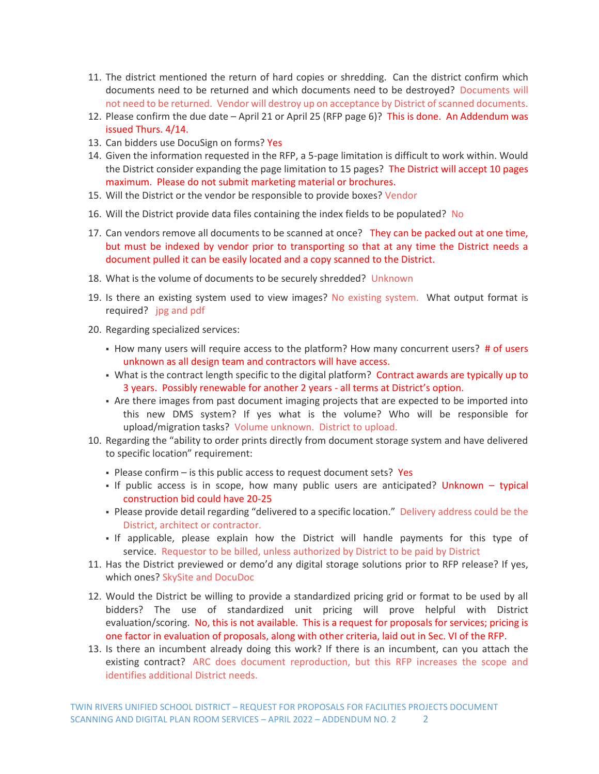- 11. The district mentioned the return of hard copies or shredding. Can the district confirm which documents need to be returned and which documents need to be destroyed? Documents will not need to be returned. Vendor will destroy up on acceptance by District of scanned documents.
- 12. Please confirm the due date April 21 or April 25 (RFP page 6)? This is done. An Addendum was issued Thurs. 4/14.
- 13. Can bidders use DocuSign on forms? Yes
- 14. Given the information requested in the RFP, a 5-page limitation is difficult to work within. Would the District consider expanding the page limitation to 15 pages? The District will accept 10 pages maximum. Please do not submit marketing material or brochures.
- 15. Will the District or the vendor be responsible to provide boxes? Vendor
- 16. Will the District provide data files containing the index fields to be populated? No
- 17. Can vendors remove all documents to be scanned at once? They can be packed out at one time, but must be indexed by vendor prior to transporting so that at any time the District needs a document pulled it can be easily located and a copy scanned to the District.
- 18. What is the volume of documents to be securely shredded? Unknown
- 19. Is there an existing system used to view images? No existing system. What output format is required? jpg and pdf
- 20. Regarding specialized services:
	- . How many users will require access to the platform? How many concurrent users? # of users unknown as all design team and contractors will have access.
	- What is the contract length specific to the digital platform? Contract awards are typically up to 3 years. Possibly renewable for another 2 years - all terms at District's option.
	- **•** Are there images from past document imaging projects that are expected to be imported into this new DMS system? If yes what is the volume? Who will be responsible for upload/migration tasks? Volume unknown. District to upload.
- 10. Regarding the "ability to order prints directly from document storage system and have delivered to specific location" requirement:
	- **Please confirm is this public access to request document sets? Yes**
	- . If public access is in scope, how many public users are anticipated? Unknown typical construction bid could have 20-25
	- Please provide detail regarding "delivered to a specific location." Delivery address could be the District, architect or contractor.
	- If applicable, please explain how the District will handle payments for this type of service. Requestor to be billed, unless authorized by District to be paid by District
- 11. Has the District previewed or demo'd any digital storage solutions prior to RFP release? If yes, which ones? SkySite and DocuDoc
- 12. Would the District be willing to provide a standardized pricing grid or format to be used by all bidders? The use of standardized unit pricing will prove helpful with District evaluation/scoring. No, this is not available. This is a request for proposals for services; pricing is one factor in evaluation of proposals, along with other criteria, laid out in Sec. VI of the RFP.
- 13. Is there an incumbent already doing this work? If there is an incumbent, can you attach the existing contract? ARC does document reproduction, but this RFP increases the scope and identifies additional District needs.